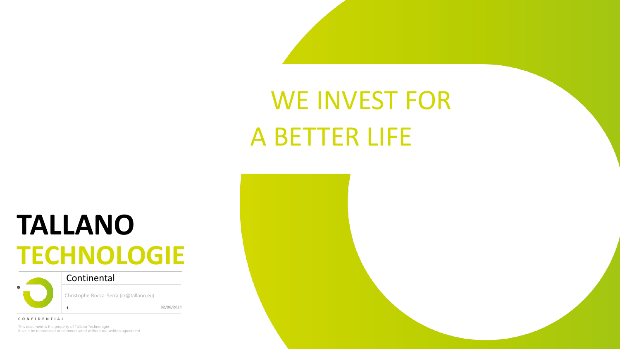# WE INVEST FOR A BETTER LIFE

# **TALLANO TECHNOLOGIE**



**Continental** 

Christophe Rocca-Serra (cr@tallano.eu)

**02/06/2021**

**C O N F I D E N T I A L**

This document is the property of Tallano Technologie. It can't be reproduced or communicated without our written agreement

**1**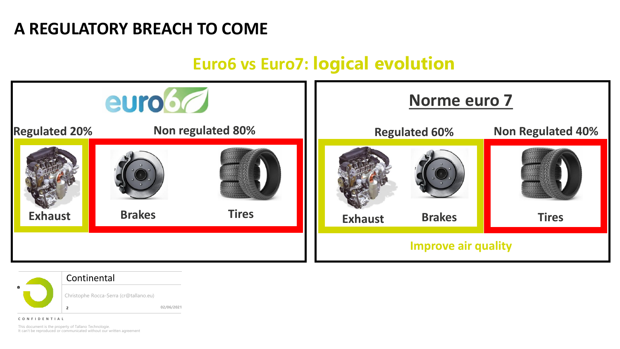## **A REGULATORY BREACH TO COME**

## euro6 **Norme euro 7 Non regulated 80% Regulated 20% 10 Mon regulated 80% 10 Regulated 60% 10 Non Regulated 40% Regulated 60% Exhaust Brakes Tires Exhaust Brakes Tires Improve air quality**

## **Euro6 vs Euro7: logical evolution**



#### **Continental**

Christophe Rocca-Serra (cr@tallano.eu)

**02/06/2021**

**C O N F I D E N T I A L**

This document is the property of Tallano Technologie. It can't be reproduced or communicated without our written agreement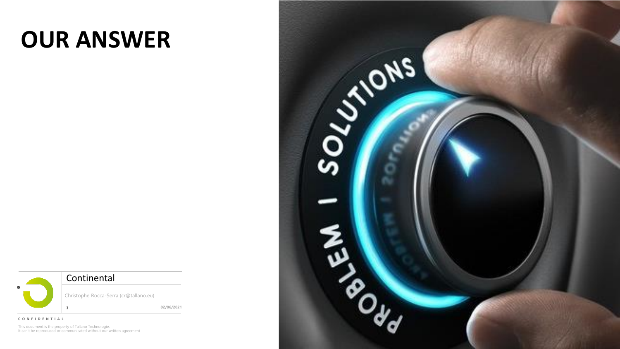## **OUR ANSWER**



Christophe Rocca-Serra (cr@tallano.eu)

**02/06/2021**

**C O N F I D E N T I A L**

This document is the property of Tallano Technologie. It can't be reproduced or communicated without our written agreement

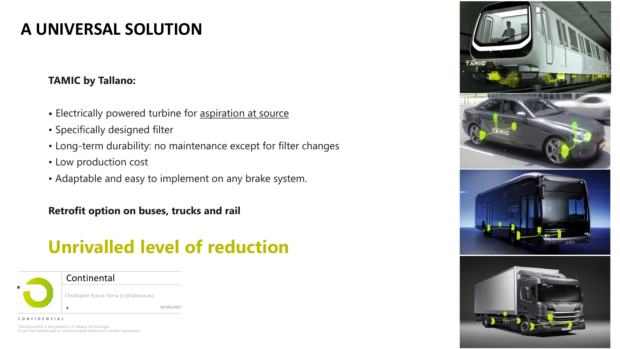## **A UNIVERSAL SOLUTION**

#### **TAMIC by Tallano:**

- **•** Electrically powered turbine for aspiration at source
- Specifically designed filter
- Long-term durability: no maintenance except for filter changes
- Low production cost
- Adaptable and easy to implement on any brake system.

**Retrofit option on buses, trucks and rail**

## **Unrivalled level of reduction**



**Continental** 

Christophe Rocca-Serra (cr@tallano.eu)

**02/06/2021**

This document is the property of Tallano Technologie. It can't be reproduced or communicated without our written agreement **C O N F I D E N T I A L**

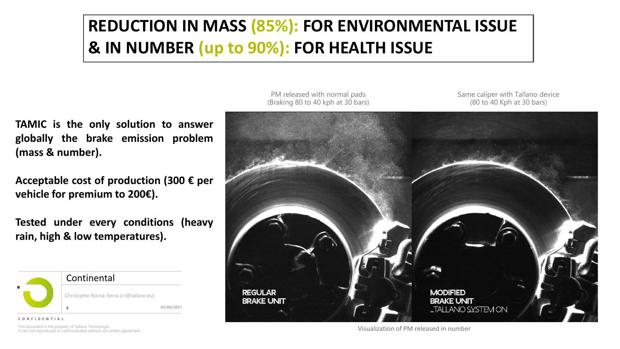## **REDUCTION IN MASS (85%): FOR ENVIRONMENTAL ISSUE & IN NUMBER (up to 90%): FOR HEALTH ISSUE**

**TAMIC is the only solution to answer globally the brake emission problem (mass & number).**

**Acceptable cost of production (300 € per vehicle for premium to 200€).**

**Tested under every conditions (heavy rain, high & low temperatures).**



**C O N F I D E N T I A L**

This document is the property of Tallano Technologie. It can't be reproduced or communicated without our written agreement

PM released with normal pads (Braking 80 to 40 kph at 30 bars) Same caliper with Tallano device (80 to 40 Kph at 30 bars)



Visualization of PM released in number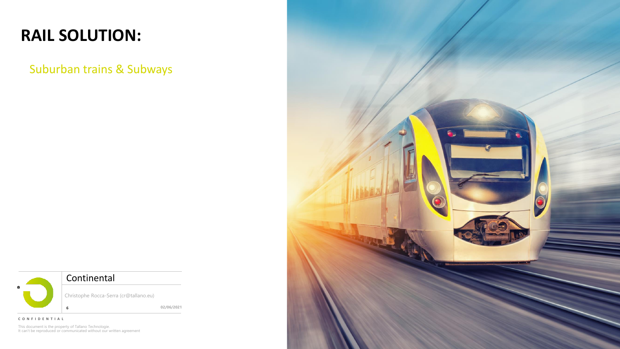## **RAIL SOLUTION:**

Suburban trains & Subways



**C O N F I D E N T I A L**

This document is the property of Tallano Technologie. It can't be reproduced or communicated without our written agreement

**02/06/2021**

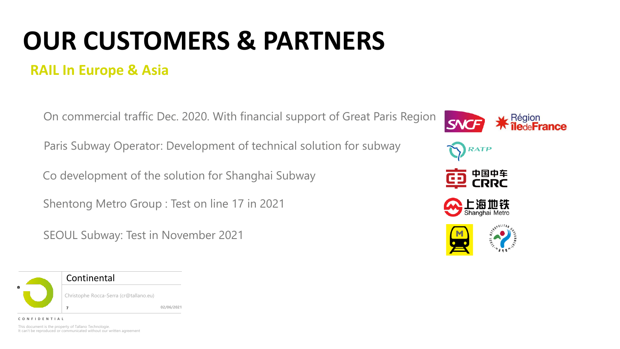# **OUR CUSTOMERS & PARTNERS**

### **RAIL In Europe & Asia**

On commercial traffic Dec. 2020. With financial support of Great Paris Region

Paris Subway Operator: Development of technical solution for subway

Co development of the solution for Shanghai Subway

Shentong Metro Group : Test on line 17 in 2021

**02/06/2021**

SEOUL Subway: Test in November 2021



This document is the property of Tallano Technologie. It can't be reproduced or communicated without our written agreement

**C O N F I D E N T I A L**